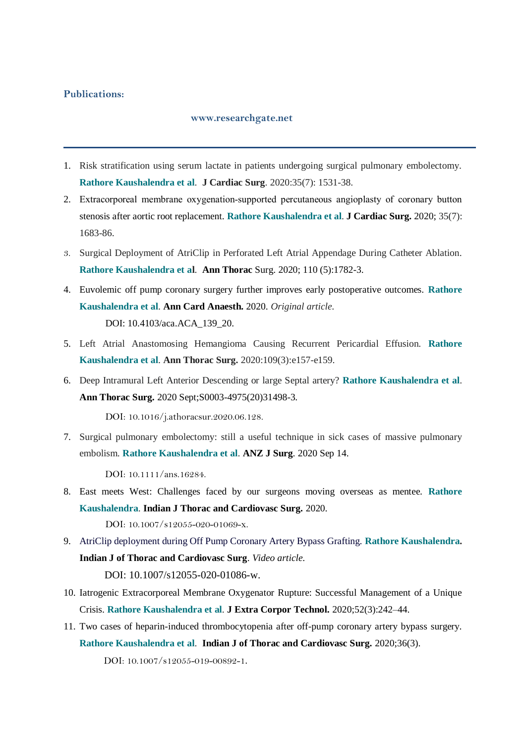## **Publications:**

## **www.researchgate.net**

- 1. Risk stratification using serum lactate in patients undergoing surgical pulmonary embolectomy. **Rathore Kaushalendra et al**. **J Cardiac Surg**. 2020:35(7): 1531-38.
- 2. Extracorporeal membrane oxygenation‐supported percutaneous angioplasty of coronary button stenosis after aortic root replacement. **Rathore Kaushalendra et al**. **J Cardiac Surg.** 2020; 35(7): 1683-86.
- 3. Surgical Deployment of AtriClip in Perforated Left Atrial Appendage During Catheter Ablation. **Rathore Kaushalendra et al**. **Ann Thorac** Surg. 2020; 110 (5):1782-3.
- 4. Euvolemic off pump coronary surgery further improves early postoperative outcomes. **Rathore Kaushalendra et al**. **Ann Card Anaesth.** 2020. *Original article.* DOI: 10.4103/aca.ACA\_139\_20.
- 5. Left Atrial Anastomosing Hemangioma Causing Recurrent Pericardial Effusion. **Rathore Kaushalendra et al**. **Ann Thorac Surg.** 2020:109(3):e157-e159.
- 6. Deep Intramural Left Anterior Descending or large Septal artery? **Rathore Kaushalendra et al**. **Ann Thorac Surg.** 2020 Sept;S0003-4975(20)31498-3.

DOI: 10.1016/j.athoracsur.2020.06.128.

7. Surgical pulmonary embolectomy: still a useful technique in sick cases of massive pulmonary embolism. **Rathore Kaushalendra et al**. **ANZ J Surg**. 2020 Sep 14.

DOI: 10.1111/ans.16284.

8. East meets West: Challenges faced by our surgeons moving overseas as mentee. **Rathore Kaushalendra**. **Indian J Thorac and Cardiovasc Surg.** 2020.

DOI: 10.1007/s12055-020-01069-x.

9. AtriClip deployment during Off Pump Coronary Artery Bypass Grafting. **Rathore Kaushalendra. Indian J of Thorac and Cardiovasc Surg**. *Video article.*

DOI: 10.1007/s12055-020-01086-w.

- 10. Iatrogenic Extracorporeal Membrane Oxygenator Rupture: Successful Management of a Unique Crisis. **Rathore Kaushalendra et al**. **J Extra Corpor Technol.** 2020;52(3):242–44.
- 11. Two cases of heparin-induced thrombocytopenia after off-pump coronary artery bypass surgery. **Rathore Kaushalendra et al**. **Indian J of Thorac and Cardiovasc Surg.** 2020;36(3). DOI: [10.1007/s12055-019-00892-1](https://www.researchgate.net/deref/http%3A%2F%2Fdx.doi.org%2F10.1007%2Fs12055-019-00892-1).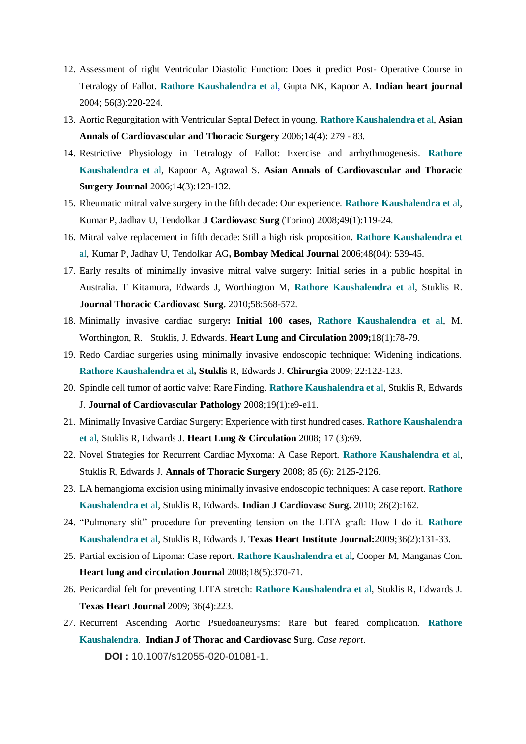- 12. Assessment of right Ventricular Diastolic Function: Does it predict Post- Operative Course in Tetralogy of Fallot. **Rathore Kaushalendra et** al, Gupta NK, Kapoor A. **Indian heart journal** 2004; 56(3):220-224.
- 13. Aortic Regurgitation with Ventricular Septal Defect in young. **Rathore Kaushalendra et** al, **Asian Annals of Cardiovascular and Thoracic Surgery** 2006;14(4): 279 - 83.
- 14. Restrictive Physiology in Tetralogy of Fallot: Exercise and arrhythmogenesis. **Rathore Kaushalendra et** al, Kapoor A, Agrawal S. **Asian Annals of Cardiovascular and Thoracic Surgery Journal** 2006;14(3):123-132.
- 15. Rheumatic mitral valve surgery in the fifth decade: Our experience. **Rathore Kaushalendra et** al, Kumar P, Jadhav U, Tendolkar **J Cardiovasc Surg** (Torino) 2008;49(1):119-24.
- 16. Mitral valve replacement in fifth decade: Still a high risk proposition. **Rathore Kaushalendra et** al, Kumar P, Jadhav U, Tendolkar AG**, Bombay Medical Journal** 2006;48(04): 539-45.
- 17. Early results of minimally invasive mitral valve surgery: Initial series in a public hospital in Australia. T Kitamura, Edwards J, Worthington M, **Rathore Kaushalendra et** al, Stuklis R. **Journal Thoracic Cardiovasc Surg.** 2010;58:568-572.
- 18. Minimally invasive cardiac surgery**: Initial 100 cases, Rathore Kaushalendra et** al, M. Worthington, R. Stuklis, J. Edwards. **Heart Lung and Circulation 2009;**18(1):78-79.
- 19. Redo Cardiac surgeries using minimally invasive endoscopic technique: Widening indications. **Rathore Kaushalendra et** al**, Stuklis** R, Edwards J. **Chirurgia** 2009; 22:122-123.
- 20. Spindle cell tumor of aortic valve: Rare Finding. **Rathore Kaushalendra et** al, Stuklis R, Edwards J. **Journal of Cardiovascular Pathology** 2008;19(1):e9-e11.
- 21. Minimally Invasive Cardiac Surgery: Experience with first hundred cases. **Rathore Kaushalendra et** al, Stuklis R, Edwards J. **Heart Lung & Circulation** 2008; 17 (3):69.
- 22. Novel Strategies for Recurrent Cardiac Myxoma: A Case Report. **Rathore Kaushalendra et** al, Stuklis R, Edwards J. **Annals of Thoracic Surgery** 2008; 85 (6): 2125-2126.
- 23. LA hemangioma excision using minimally invasive endoscopic techniques: A case report. **Rathore Kaushalendra et** al, Stuklis R, Edwards. **Indian J Cardiovasc Surg.** 2010; 26(2):162.
- 24. "Pulmonary slit" procedure for preventing tension on the LITA graft: How I do it. **Rathore Kaushalendra et** al, Stuklis R, Edwards J. **Texas Heart Institute Journal:**2009;36(2):131-33.
- 25. Partial excision of Lipoma: Case report. **Rathore Kaushalendra et** al**,** Cooper M, Manganas Con**. Heart lung and circulation Journal** 2008;18(5):370-71.
- 26. Pericardial felt for preventing LITA stretch: **Rathore Kaushalendra et** al, Stuklis R, Edwards J. **Texas Heart Journal** 2009; 36(4):223.
- 27. Recurrent Ascending Aortic Psuedoaneurysms: Rare but feared complication. **Rathore Kaushalendra**. **Indian J of Thorac and Cardiovasc S**urg. *Case report*. **DOI :** 10.1007/s12055-020-01081-1.